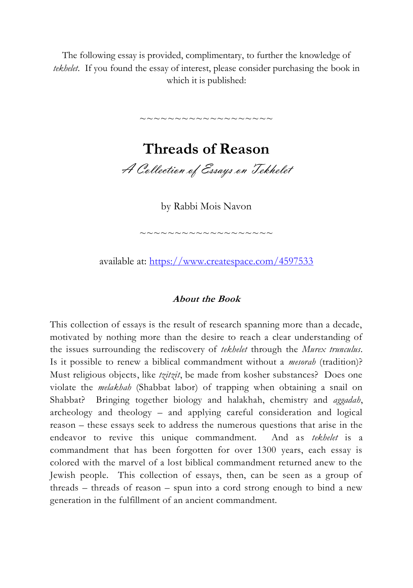The following essay is provided, complimentary, to further the knowledge of *tekhelet*. If you found the essay of interest, please consider purchasing the book in which it is published:

> **Threads of Reason** A Collection of Essays on Tekhelet

~~~~~~~~~~~~~~~~~~~

by Rabbi Mois Navon

available at:<https://www.createspace.com/4597533>

~~~~~~~~~~~~~~~~~~~

#### **About the Book**

This collection of essays is the result of research spanning more than a decade, motivated by nothing more than the desire to reach a clear understanding of the issues surrounding the rediscovery of *tekhelet* through the *Murex trunculus*. Is it possible to renew a biblical commandment without a *mesorah* (tradition)? Must religious objects, like *tzitzit*, be made from kosher substances? Does one violate the *melakhah* (Shabbat labor) of trapping when obtaining a snail on Shabbat? Bringing together biology and halakhah, chemistry and *aggadah*, archeology and theology – and applying careful consideration and logical reason – these essays seek to address the numerous questions that arise in the endeavor to revive this unique commandment. And as *tekhelet* is a commandment that has been forgotten for over 1300 years, each essay is colored with the marvel of a lost biblical commandment returned anew to the Jewish people. This collection of essays, then, can be seen as a group of threads – threads of reason – spun into a cord strong enough to bind a new generation in the fulfillment of an ancient commandment.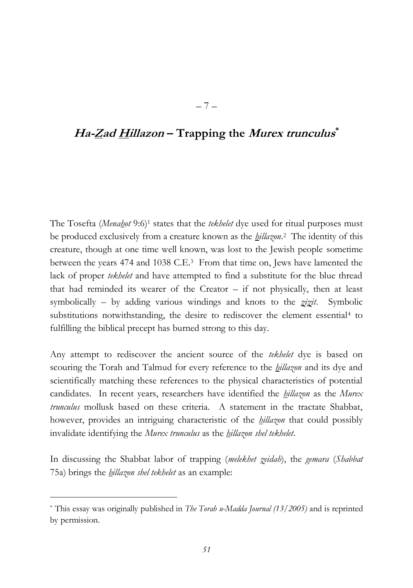# **Ha-Zad Hillazon – Trapping the Murex trunculus \***

– 7 –

The Tosefta (*Menahot* 9:6)<sup>1</sup> states that the *tekhelet* dye used for ritual purposes must be produced exclusively from a creature known as the *hillazon*. <sup>2</sup> The identity of this creature, though at one time well known, was lost to the Jewish people sometime between the years 474 and 1038 C.E.3 From that time on, Jews have lamented the lack of proper *tekhelet* and have attempted to find a substitute for the blue thread that had reminded its wearer of the Creator  $-$  if not physically, then at least symbolically – by adding various windings and knots to the *zizit*. Symbolic substitutions notwithstanding, the desire to rediscover the element essential<sup>4</sup> to fulfilling the biblical precept has burned strong to this day.

Any attempt to rediscover the ancient source of the *tekhelet* dye is based on scouring the Torah and Talmud for every reference to the *hillazon* and its dye and scientifically matching these references to the physical characteristics of potential candidates. In recent years, researchers have identified the *hillazon* as the *Murex trunculus* mollusk based on these criteria. A statement in the tractate Shabbat, however, provides an intriguing characteristic of the *hillazon* that could possibly invalidate identifying the *Murex trunculus* as the *hillazon shel tekhelet*.

In discussing the Shabbat labor of trapping (*melekhet zeidah*), the *gemara* (*Shabbat* 75a) brings the *hillazon shel tekhelet* as an example:

 $\overline{a}$ 

<sup>\*</sup> This essay was originally published in *The Torah u-Madda Journal (13/2005)* and is reprinted by permission.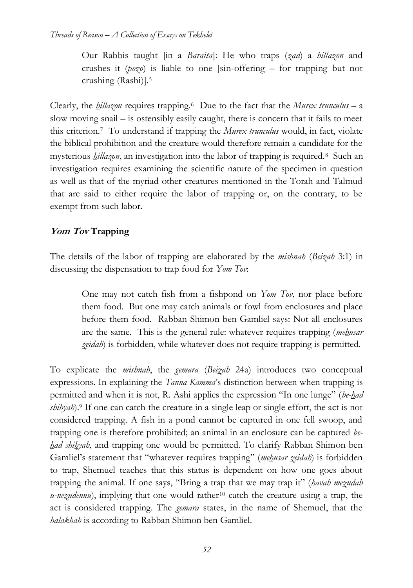Our Rabbis taught [in a *Baraita*]: He who traps (*zad*) a *hillazon* and crushes it (*pozo*) is liable to one [sin-offering – for trapping but not crushing (Rashi)].<sup>5</sup>

Clearly, the *hillazon* requires trapping.6 Due to the fact that the *Murex trunculus* – a slow moving snail – is ostensibly easily caught, there is concern that it fails to meet this criterion.7 To understand if trapping the *Murex trunculus* would, in fact, violate the biblical prohibition and the creature would therefore remain a candidate for the mysterious *hillazon*, an investigation into the labor of trapping is required.8 Such an investigation requires examining the scientific nature of the specimen in question as well as that of the myriad other creatures mentioned in the Torah and Talmud that are said to either require the labor of trapping or, on the contrary, to be exempt from such labor.

# **Yom Tov Trapping**

The details of the labor of trapping are elaborated by the *mishnah* (*Beizah* 3:1) in discussing the dispensation to trap food for *Yom Tov*:

> One may not catch fish from a fishpond on *Yom Tov*, nor place before them food. But one may catch animals or fowl from enclosures and place before them food. Rabban Shimon ben Gamliel says: Not all enclosures are the same. This is the general rule: whatever requires trapping (*mehusar zeidah*) is forbidden, while whatever does not require trapping is permitted.

To explicate the *mishnah*, the *gemara* (*Beizah* 24a) introduces two conceptual expressions. In explaining the *Tanna Kamma*'s distinction between when trapping is permitted and when it is not, R. Ashi applies the expression "In one lunge" (*be-had shihyah*).<sup>9</sup> If one can catch the creature in a single leap or single effort, the act is not considered trapping. A fish in a pond cannot be captured in one fell swoop, and trapping one is therefore prohibited; an animal in an enclosure can be captured *behad shihyah*, and trapping one would be permitted. To clarify Rabban Shimon ben Gamliel's statement that "whatever requires trapping" (*mehusar zeidah*) is forbidden to trap, Shemuel teaches that this status is dependent on how one goes about trapping the animal. If one says, "Bring a trap that we may trap it" (*havah mezudah u-nezudennu*), implying that one would rather<sup>10</sup> catch the creature using a trap, the act is considered trapping. The *gemara* states, in the name of Shemuel, that the *halakhah* is according to Rabban Shimon ben Gamliel.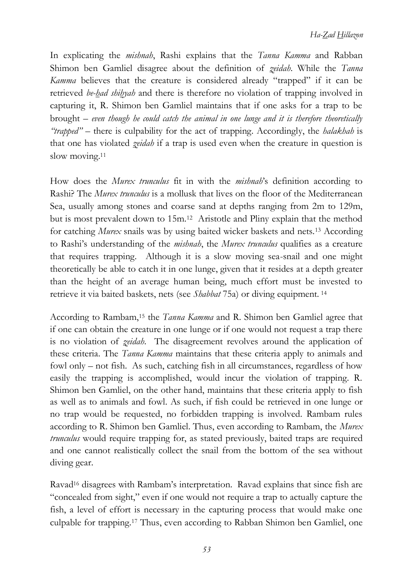In explicating the *mishnah*, Rashi explains that the *Tanna Kamma* and Rabban Shimon ben Gamliel disagree about the definition of *zeidah*. While the *Tanna Kamma* believes that the creature is considered already "trapped" if it can be retrieved *be-had shihyah* and there is therefore no violation of trapping involved in capturing it, R. Shimon ben Gamliel maintains that if one asks for a trap to be brought – *even though he could catch the animal in one lunge and it is therefore theoretically "trapped"* – there is culpability for the act of trapping. Accordingly, the *halakhah* is that one has violated *zeidah* if a trap is used even when the creature in question is slow moving.<sup>11</sup>

How does the *Murex trunculus* fit in with the *mishnah*'s definition according to Rashi? The *Murex trunculus* is a mollusk that lives on the floor of the Mediterranean Sea, usually among stones and coarse sand at depths ranging from 2m to 129m, but is most prevalent down to 15m.12 Aristotle and Pliny explain that the method for catching *Murex* snails was by using baited wicker baskets and nets.<sup>13</sup> According to Rashi's understanding of the *mishnah*, the *Murex trunculus* qualifies as a creature that requires trapping. Although it is a slow moving sea-snail and one might theoretically be able to catch it in one lunge, given that it resides at a depth greater than the height of an average human being, much effort must be invested to retrieve it via baited baskets, nets (see *Shabbat* 75a) or diving equipment. <sup>14</sup>

<span id="page-3-0"></span>According to Rambam,<sup>15</sup> the *Tanna Kamma* and R. Shimon ben Gamliel agree that if one can obtain the creature in one lunge or if one would not request a trap there is no violation of *zeidah*. The disagreement revolves around the application of these criteria. The *Tanna Kamma* maintains that these criteria apply to animals and fowl only – not fish. As such, catching fish in all circumstances, regardless of how easily the trapping is accomplished, would incur the violation of trapping. R. Shimon ben Gamliel, on the other hand, maintains that these criteria apply to fish as well as to animals and fowl. As such, if fish could be retrieved in one lunge or no trap would be requested, no forbidden trapping is involved. Rambam rules according to R. Shimon ben Gamliel. Thus, even according to Rambam, the *Murex trunculus* would require trapping for, as stated previously, baited traps are required and one cannot realistically collect the snail from the bottom of the sea without diving gear.

Ravad<sup>16</sup> disagrees with Rambam's interpretation. Ravad explains that since fish are "concealed from sight," even if one would not require a trap to actually capture the fish, a level of effort is necessary in the capturing process that would make one culpable for trapping.<sup>17</sup> Thus, even according to Rabban Shimon ben Gamliel, one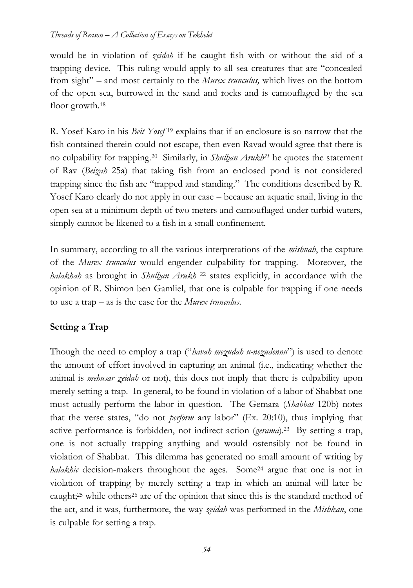would be in violation of *zeidah* if he caught fish with or without the aid of a trapping device. This ruling would apply to all sea creatures that are "concealed from sight" – and most certainly to the *Murex trunculus,* which lives on the bottom of the open sea, burrowed in the sand and rocks and is camouflaged by the sea floor growth.<sup>18</sup>

R. Yosef Karo in his *Beit Yosef* <sup>19</sup> explains that if an enclosure is so narrow that the fish contained therein could not escape, then even Ravad would agree that there is no culpability for trapping.20 Similarly, in *Shulhan Arukh<sup>21</sup>* he quotes the statement of Rav (*Beizah* 25a) that taking fish from an enclosed pond is not considered trapping since the fish are "trapped and standing." The conditions described by R. Yosef Karo clearly do not apply in our case – because an aquatic snail, living in the open sea at a minimum depth of two meters and camouflaged under turbid waters, simply cannot be likened to a fish in a small confinement.

In summary, according to all the various interpretations of the *mishnah*, the capture of the *Murex trunculus* would engender culpability for trapping. Moreover, the *halakhah* as brought in *Shulhan Arukh* <sup>22</sup> states explicitly, in accordance with the opinion of R. Shimon ben Gamliel, that one is culpable for trapping if one needs to use a trap – as is the case for the *Murex trunculus*.

## **Setting a Trap**

Though the need to employ a trap ("*havah mezudah u-nezudennu*") is used to denote the amount of effort involved in capturing an animal (i.e., indicating whether the animal is *mehusar zeidah* or not), this does not imply that there is culpability upon merely setting a trap. In general, to be found in violation of a labor of Shabbat one must actually perform the labor in question. The Gemara (*Shabbat* 120b) notes that the verse states, "do not *perform* any labor" (Ex. 20:10), thus implying that active performance is forbidden, not indirect action (*gerama*).23 By setting a trap, one is not actually trapping anything and would ostensibly not be found in violation of Shabbat. This dilemma has generated no small amount of writing by *halakhic* decision-makers throughout the ages. Some<sup>24</sup> argue that one is not in violation of trapping by merely setting a trap in which an animal will later be caught;<sup>25</sup> while others<sup>26</sup> are of the opinion that since this is the standard method of the act, and it was, furthermore, the way *zeidah* was performed in the *Mishkan*, one is culpable for setting a trap.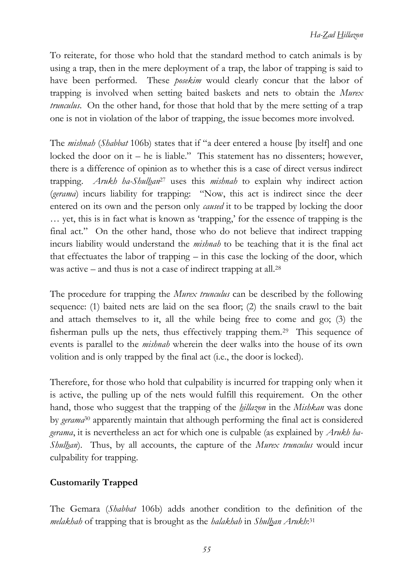To reiterate, for those who hold that the standard method to catch animals is by using a trap, then in the mere deployment of a trap, the labor of trapping is said to have been performed. These *posekim* would clearly concur that the labor of trapping is involved when setting baited baskets and nets to obtain the *Murex trunculus*. On the other hand, for those that hold that by the mere setting of a trap one is not in violation of the labor of trapping, the issue becomes more involved.

The *mishnah* (*Shabbat* 106b) states that if "a deer entered a house [by itself] and one locked the door on it – he is liable." This statement has no dissenters; however, there is a difference of opinion as to whether this is a case of direct versus indirect trapping. *Arukh ha-Shulhan*<sup>27</sup> uses this *mishnah* to explain why indirect action (*gerama*) incurs liability for trapping: "Now, this act is indirect since the deer entered on its own and the person only *caused* it to be trapped by locking the door … yet, this is in fact what is known as 'trapping,' for the essence of trapping is the final act." On the other hand, those who do not believe that indirect trapping incurs liability would understand the *mishnah* to be teaching that it is the final act that effectuates the labor of trapping – in this case the locking of the door, which was active – and thus is not a case of indirect trapping at all.<sup>28</sup>

The procedure for trapping the *Murex trunculus* can be described by the following sequence: (1) baited nets are laid on the sea floor; (2) the snails crawl to the bait and attach themselves to it, all the while being free to come and go; (3) the fisherman pulls up the nets, thus effectively trapping them.29 This sequence of events is parallel to the *mishnah* wherein the deer walks into the house of its own volition and is only trapped by the final act (i.e., the door is locked).

Therefore, for those who hold that culpability is incurred for trapping only when it is active, the pulling up of the nets would fulfill this requirement. On the other hand, those who suggest that the trapping of the *hillazon* in the *Mishkan* was done by *gerama*<sup>30</sup> apparently maintain that although performing the final act is considered *gerama*, it is nevertheless an act for which one is culpable (as explained by *Arukh ha-Shulhan*). Thus, by all accounts, the capture of the *Murex trunculus* would incur culpability for trapping.

## **Customarily Trapped**

The Gemara (*Shabbat* 106b) adds another condition to the definition of the *melakhah* of trapping that is brought as the *halakhah* in *Shulhan Arukh*: 31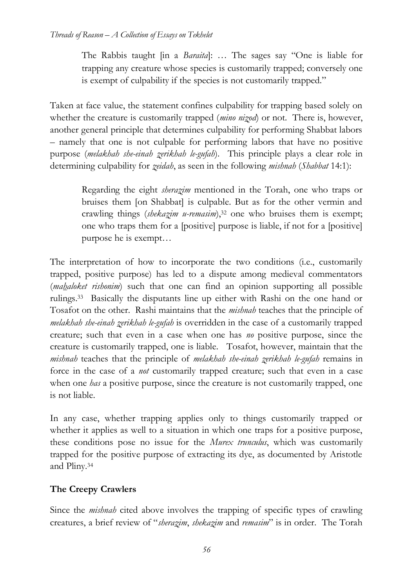The Rabbis taught [in a *Baraita*]: … The sages say "One is liable for trapping any creature whose species is customarily trapped; conversely one is exempt of culpability if the species is not customarily trapped."

Taken at face value, the statement confines culpability for trapping based solely on whether the creature is customarily trapped (*mino nizod*) or not. There is, however, another general principle that determines culpability for performing Shabbat labors – namely that one is not culpable for performing labors that have no positive purpose (*melakhah she-einah zerikhah le-gufah*). This principle plays a clear role in determining culpability for *zeidah*, as seen in the following *mishnah* (*Shabbat* 14:1):

Regarding the eight *sherazim* mentioned in the Torah, one who traps or bruises them [on Shabbat] is culpable. But as for the other vermin and crawling things (*shekazim u-remasim*),<sup>32</sup> one who bruises them is exempt; one who traps them for a [positive] purpose is liable, if not for a [positive] purpose he is exempt…

The interpretation of how to incorporate the two conditions (i.e., customarily trapped, positive purpose) has led to a dispute among medieval commentators (*mahaloket rishonim*) such that one can find an opinion supporting all possible rulings.33 Basically the disputants line up either with Rashi on the one hand or Tosafot on the other. Rashi maintains that the *mishnah* teaches that the principle of *melakhah she-einah zerikhah le-gufah* is overridden in the case of a customarily trapped creature; such that even in a case when one has *no* positive purpose, since the creature is customarily trapped, one is liable. Tosafot, however, maintain that the *mishnah* teaches that the principle of *melakhah she-einah zerikhah le-gufah* remains in force in the case of a *not* customarily trapped creature; such that even in a case when one *has* a positive purpose, since the creature is not customarily trapped, one is not liable.

In any case, whether trapping applies only to things customarily trapped or whether it applies as well to a situation in which one traps for a positive purpose, these conditions pose no issue for the *Murex trunculus*, which was customarily trapped for the positive purpose of extracting its dye, as documented by Aristotle and Pliny.<sup>34</sup>

## **The Creepy Crawlers**

Since the *mishnah* cited above involves the trapping of specific types of crawling creatures, a brief review of "*sherazim*, *shekazim* and *remasim*" is in order. The Torah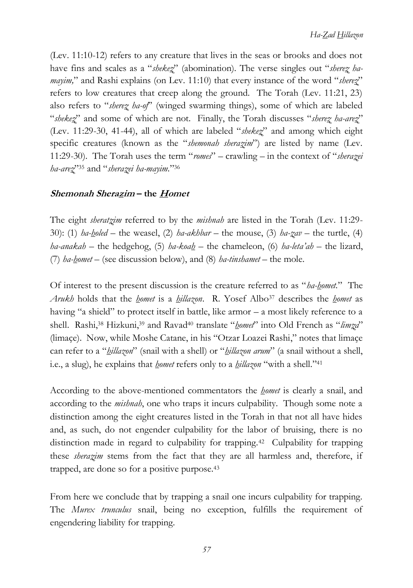(Lev. 11:10-12) refers to any creature that lives in the seas or brooks and does not have fins and scales as a "*shekez*" (abomination). The verse singles out "*sherez hamayim,*" and Rashi explains (on Lev. 11:10) that every instance of the word "*sherez*" refers to low creatures that creep along the ground. The Torah (Lev. 11:21, 23) also refers to "*sherez ha-of*" (winged swarming things), some of which are labeled "*shekez*" and some of which are not. Finally, the Torah discusses "*sherez ha-arez*" (Lev. 11:29-30, 41-44), all of which are labeled "*shekez*" and among which eight specific creatures (known as the "*shemonah sherazim*") are listed by name (Lev. 11:29-30). The Torah uses the term "*romes*" – crawling – in the context of "*sherazei ha-arez*"<sup>35</sup> and "*sherazei ha-mayim.*"<sup>36</sup>

## **Shemonah Sherazim – the Homet**

The eight *sheratzim* referred to by the *mishnah* are listed in the Torah (Lev. 11:29- 30): (1) *ha-holed* – the weasel, (2) *ha-akhbar* – the mouse, (3) *ha-zav* – the turtle, (4) *ha-anakah* – the hedgehog, (5) *ha-koah* – the chameleon, (6) *ha-leta'ah* – the lizard, (7) *ha-homet* – (see discussion below), and (8) *ha-tinshamet* – the mole.

Of interest to the present discussion is the creature referred to as "*ha-homet.*" The *Arukh* holds that the *homet* is a *hillazon*. R. Yosef Albo<sup>37</sup> describes the *homet* as having "a shield" to protect itself in battle, like armor – a most likely reference to a shell. Rashi,<sup>38</sup> Hizkuni,<sup>39</sup> and Ravad<sup>40</sup> translate "*homet*" into Old French as "*limza*" (limaçe). Now, while Moshe Catane, in his "Otzar Loazei Rashi," notes that limaçe can refer to a "*hillazon*" (snail with a shell) or "*hillazon arum*" (a snail without a shell, i.e., a slug), he explains that *homet* refers only to a *hillazon* "with a shell."<sup>41</sup>

According to the above-mentioned commentators the *homet* is clearly a snail, and according to the *mishnah*, one who traps it incurs culpability. Though some note a distinction among the eight creatures listed in the Torah in that not all have hides and, as such, do not engender culpability for the labor of bruising, there is no distinction made in regard to culpability for trapping.<sup>42</sup> Culpability for trapping these *sherazim* stems from the fact that they are all harmless and, therefore, if trapped, are done so for a positive purpose.<sup>43</sup>

From here we conclude that by trapping a snail one incurs culpability for trapping. The *Murex trunculus* snail, being no exception, fulfills the requirement of engendering liability for trapping.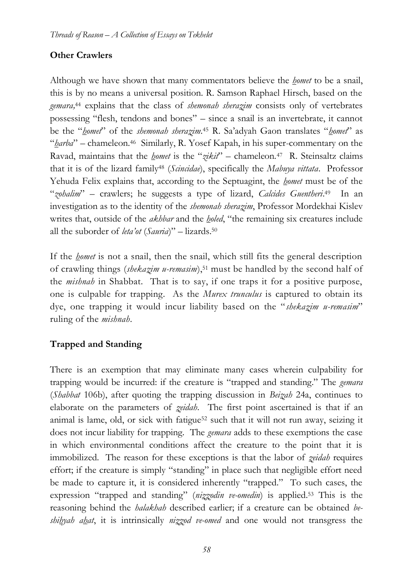## **Other Crawlers**

Although we have shown that many commentators believe the *homet* to be a snail, this is by no means a universal position. R. Samson Raphael Hirsch, based on the *gemara,* <sup>44</sup> explains that the class of *shemonah sherazim* consists only of vertebrates possessing "flesh, tendons and bones" – since a snail is an invertebrate, it cannot be the "*homet*" of the *shemonah sherazim*. <sup>45</sup> R. Sa'adyah Gaon translates "*homet*" as "*harba*" – chameleon.46 Similarly, R. Yosef Kapah, in his super-commentary on the Ravad, maintains that the *homet* is the "*zikit*" – chameleon.<sup>47</sup> R. Steinsaltz claims that it is of the lizard family<sup>48</sup> (*Scincidae*), specifically the *Mabuya vittata*. Professor Yehuda Felix explains that, according to the Septuagint, the *homet* must be of the "*zohalim*" – crawlers; he suggests a type of lizard, *Calcides Guentheri*. <sup>49</sup> In an investigation as to the identity of the *shemonah sherazim*, Professor Mordekhai Kislev writes that, outside of the *akhbar* and the *holed*, "the remaining six creatures include all the suborder of *leta'ot* (*Sauria*)" – lizards.<sup>50</sup>

If the *homet* is not a snail, then the snail, which still fits the general description of crawling things (*shekazim u-remasim*),<sup>51</sup> must be handled by the second half of the *mishnah* in Shabbat. That is to say, if one traps it for a positive purpose, one is culpable for trapping. As the *Murex trunculus* is captured to obtain its dye, one trapping it would incur liability based on the "*shekazim u-remasim*" ruling of the *mishnah*.

## **Trapped and Standing**

There is an exemption that may eliminate many cases wherein culpability for trapping would be incurred: if the creature is "trapped and standing." The *gemara* (*Shabbat* 106b), after quoting the trapping discussion in *Beizah* 24a, continues to elaborate on the parameters of *zeidah*. The first point ascertained is that if an animal is lame, old, or sick with fatigue<sup>52</sup> such that it will not run away, seizing it does not incur liability for trapping. The *gemara* adds to these exemptions the case in which environmental conditions affect the creature to the point that it is immobilized. The reason for these exceptions is that the labor of *zeidah* requires effort; if the creature is simply "standing" in place such that negligible effort need be made to capture it, it is considered inherently "trapped." To such cases, the expression "trapped and standing" (*nizzodin ve-omedin*) is applied.<sup>53</sup> This is the reasoning behind the *halakhah* described earlier; if a creature can be obtained *beshihyah ahat*, it is intrinsically *nizzod ve-omed* and one would not transgress the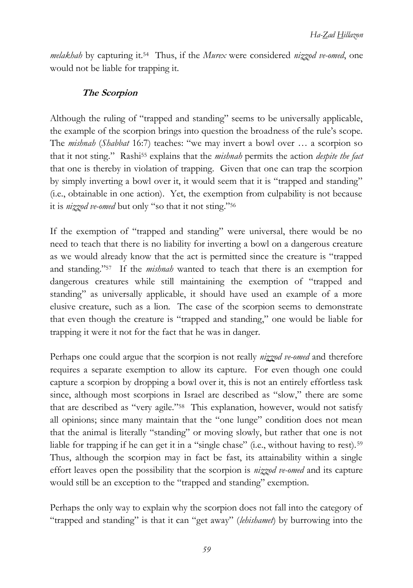*melakhah* by capturing it.54 Thus, if the *Murex* were considered *nizzod ve-omed*, one would not be liable for trapping it.

#### **The Scorpion**

Although the ruling of "trapped and standing" seems to be universally applicable, the example of the scorpion brings into question the broadness of the rule's scope. The *mishnah* (*Shabbat* 16:7) teaches: "we may invert a bowl over … a scorpion so that it not sting." Rashi<sup>55</sup> explains that the *mishnah* permits the action *despite the fact* that one is thereby in violation of trapping. Given that one can trap the scorpion by simply inverting a bowl over it, it would seem that it is "trapped and standing" (i.e., obtainable in one action). Yet, the exemption from culpability is not because it is *nizzod ve-omed* but only "so that it not sting."<sup>56</sup>

If the exemption of "trapped and standing" were universal, there would be no need to teach that there is no liability for inverting a bowl on a dangerous creature as we would already know that the act is permitted since the creature is "trapped and standing."<sup>57</sup> If the *mishnah* wanted to teach that there is an exemption for dangerous creatures while still maintaining the exemption of "trapped and standing" as universally applicable, it should have used an example of a more elusive creature, such as a lion. The case of the scorpion seems to demonstrate that even though the creature is "trapped and standing," one would be liable for trapping it were it not for the fact that he was in danger.

Perhaps one could argue that the scorpion is not really *nizzod ve-omed* and therefore requires a separate exemption to allow its capture. For even though one could capture a scorpion by dropping a bowl over it, this is not an entirely effortless task since, although most scorpions in Israel are described as "slow," there are some that are described as "very agile."58 This explanation, however, would not satisfy all opinions; since many maintain that the "one lunge" condition does not mean that the animal is literally "standing" or moving slowly, but rather that one is not liable for trapping if he can get it in a "single chase" (i.e., without having to rest).<sup>59</sup> Thus, although the scorpion may in fact be fast, its attainability within a single effort leaves open the possibility that the scorpion is *nizzod ve-omed* and its capture would still be an exception to the "trapped and standing" exemption.

Perhaps the only way to explain why the scorpion does not fall into the category of "trapped and standing" is that it can "get away" (*lehishamet*) by burrowing into the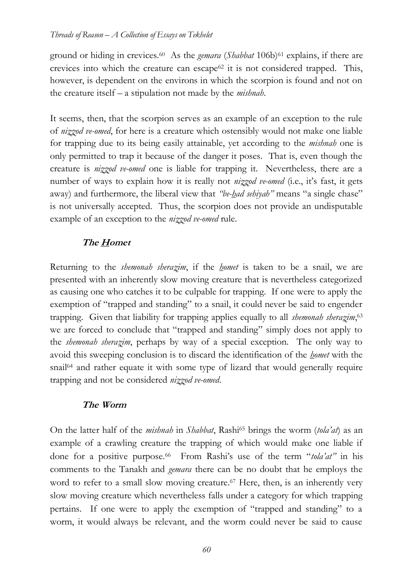ground or hiding in crevices.60 As the *gemara* (*Shabbat* 106b)<sup>61</sup> explains, if there are crevices into which the creature can escape<sup> $62$ </sup> it is not considered trapped. This, however, is dependent on the environs in which the scorpion is found and not on the creature itself – a stipulation not made by the *mishnah*.

It seems, then, that the scorpion serves as an example of an exception to the rule of *nizzod ve-omed*, for here is a creature which ostensibly would not make one liable for trapping due to its being easily attainable, yet according to the *mishnah* one is only permitted to trap it because of the danger it poses. That is, even though the creature is *nizzod ve-omed* one is liable for trapping it. Nevertheless, there are a number of ways to explain how it is really not *nizzod ve-omed* (i.e., it's fast, it gets away) and furthermore, the liberal view that *"be-had sehiyah"* means "a single chase" is not universally accepted. Thus, the scorpion does not provide an undisputable example of an exception to the *nizzod ve-omed* rule.

#### **The Homet**

Returning to the *shemonah sherazim*, if the *homet* is taken to be a snail, we are presented with an inherently slow moving creature that is nevertheless categorized as causing one who catches it to be culpable for trapping. If one were to apply the exemption of "trapped and standing" to a snail, it could never be said to engender trapping. Given that liability for trapping applies equally to all *shemonah sherazim*, 63 we are forced to conclude that "trapped and standing" simply does not apply to the *shemonah sherazim*, perhaps by way of a special exception. The only way to avoid this sweeping conclusion is to discard the identification of the *homet* with the snail<sup>64</sup> and rather equate it with some type of lizard that would generally require trapping and not be considered *nizzod ve-omed*.

#### **The Worm**

On the latter half of the *mishnah* in *Shabbat*, Rashi<sup>65</sup> brings the worm (*tola'at*) as an example of a crawling creature the trapping of which would make one liable if done for a positive purpose.<sup>66</sup> From Rashi's use of the term "*tola'at"* in his comments to the Tanakh and *gemara* there can be no doubt that he employs the word to refer to a small slow moving creature.<sup>67</sup> Here, then, is an inherently very slow moving creature which nevertheless falls under a category for which trapping pertains. If one were to apply the exemption of "trapped and standing" to a worm, it would always be relevant, and the worm could never be said to cause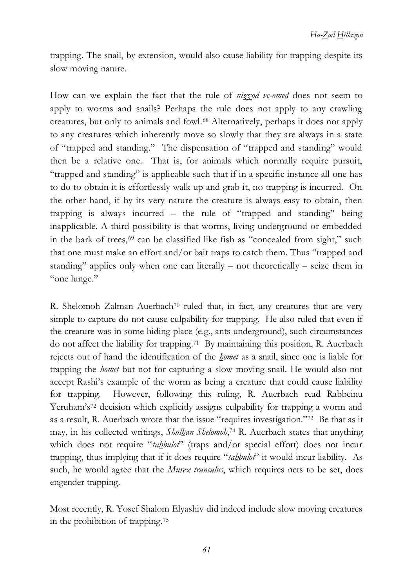trapping. The snail, by extension, would also cause liability for trapping despite its slow moving nature.

How can we explain the fact that the rule of *nizzod ve-omed* does not seem to apply to worms and snails? Perhaps the rule does not apply to any crawling creatures, but only to animals and fowl.<sup>68</sup> Alternatively, perhaps it does not apply to any creatures which inherently move so slowly that they are always in a state of "trapped and standing." The dispensation of "trapped and standing" would then be a relative one. That is, for animals which normally require pursuit, "trapped and standing" is applicable such that if in a specific instance all one has to do to obtain it is effortlessly walk up and grab it, no trapping is incurred. On the other hand, if by its very nature the creature is always easy to obtain, then trapping is always incurred – the rule of "trapped and standing" being inapplicable. A third possibility is that worms, living underground or embedded in the bark of trees, $69$  can be classified like fish as "concealed from sight," such that one must make an effort and/or bait traps to catch them. Thus "trapped and standing" applies only when one can literally – not theoretically – seize them in "one lunge."

R. Shelomoh Zalman Auerbach<sup>70</sup> ruled that, in fact, any creatures that are very simple to capture do not cause culpability for trapping. He also ruled that even if the creature was in some hiding place (e.g., ants underground), such circumstances do not affect the liability for trapping.71 By maintaining this position, R. Auerbach rejects out of hand the identification of the *homet* as a snail, since one is liable for trapping the *homet* but not for capturing a slow moving snail. He would also not accept Rashi's example of the worm as being a creature that could cause liability for trapping. However, following this ruling, R. Auerbach read Rabbeinu Yeruham's<sup>72</sup> decision which explicitly assigns culpability for trapping a worm and as a result, R. Auerbach wrote that the issue "requires investigation."73 Be that as it may, in his collected writings, *Shulhan Shelomoh*, <sup>74</sup> R. Auerbach states that anything which does not require "*tahbulot*" (traps and/or special effort) does not incur trapping, thus implying that if it does require "*tahbulot*" it would incur liability. As such, he would agree that the *Murex trunculus*, which requires nets to be set, does engender trapping.

Most recently, R. Yosef Shalom Elyashiv did indeed include slow moving creatures in the prohibition of trapping.75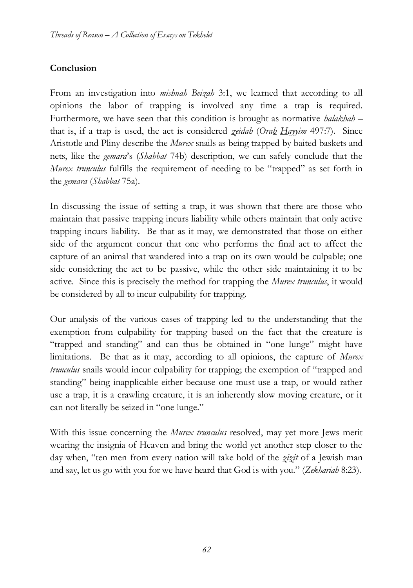## **Conclusion**

From an investigation into *mishnah Beizah* 3:1, we learned that according to all opinions the labor of trapping is involved any time a trap is required. Furthermore, we have seen that this condition is brought as normative *halakhah* – that is, if a trap is used, the act is considered *zeidah* (*Orah Hayyim* 497:7). Since Aristotle and Pliny describe the *Murex* snails as being trapped by baited baskets and nets, like the *gemara*'s (*Shabbat* 74b) description, we can safely conclude that the *Murex trunculus* fulfills the requirement of needing to be "trapped" as set forth in the *gemara* (*Shabbat* 75a).

In discussing the issue of setting a trap, it was shown that there are those who maintain that passive trapping incurs liability while others maintain that only active trapping incurs liability. Be that as it may, we demonstrated that those on either side of the argument concur that one who performs the final act to affect the capture of an animal that wandered into a trap on its own would be culpable; one side considering the act to be passive, while the other side maintaining it to be active. Since this is precisely the method for trapping the *Murex trunculus*, it would be considered by all to incur culpability for trapping.

Our analysis of the various cases of trapping led to the understanding that the exemption from culpability for trapping based on the fact that the creature is "trapped and standing" and can thus be obtained in "one lunge" might have limitations. Be that as it may, according to all opinions, the capture of *Murex trunculus* snails would incur culpability for trapping; the exemption of "trapped and standing" being inapplicable either because one must use a trap, or would rather use a trap, it is a crawling creature, it is an inherently slow moving creature, or it can not literally be seized in "one lunge."

With this issue concerning the *Murex trunculus* resolved, may yet more Jews merit wearing the insignia of Heaven and bring the world yet another step closer to the day when, "ten men from every nation will take hold of the *zizit* of a Jewish man and say, let us go with you for we have heard that God is with you." (*Zekhariah* 8:23).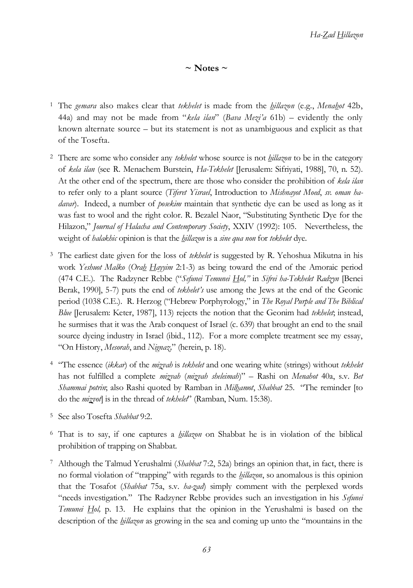$\sim$  Notes  $\sim$ 

- <sup>1</sup> The *gemara* also makes clear that *tekhelet* is made from the *hillazon* (e.g., *Menahot* 42b, 44a) and may not be made from "*kela ilan*" (*Bava Mezi'a* 61b) – evidently the only known alternate source – but its statement is not as unambiguous and explicit as that of the Tosefta.
- <sup>2</sup> There are some who consider any *tekhelet* whose source is not *hillazon* to be in the category of *kela ilan* (see R. Menachem Burstein, *Ha-Tekhelet* [Jerusalem: Sifriyati, 1988], 70, n. 52). At the other end of the spectrum, there are those who consider the prohibition of *kela ilan* to refer only to a plant source (*Tiferet Yisrael*, Introduction to *Mishnayot Moed*, *sv. oman hadavar*). Indeed, a number of *posekim* maintain that synthetic dye can be used as long as it was fast to wool and the right color. R. Bezalel Naor, "Substituting Synthetic Dye for the Hilazon," *Journal of Halacha and Contemporary Society*, XXIV (1992): 105. Nevertheless, the weight of *halakhic* opinion is that the *hillazon* is a *sine qua non* for *tekhelet* dye.
- <sup>3</sup> The earliest date given for the loss of *tekhelet* is suggested by R. Yehoshua Mikutna in his work *Yeshuot Malko* (*Orah Hayyim* 2:1-3) as being toward the end of the Amoraic period (474 C.E.). The Radzyner Rebbe ("*Sefunei Temunei Hol,"* in *Sifrei ha-Tekhelet Radzyn* [Benei Berak, 1990], 5-7) puts the end of *tekhelet's* use among the Jews at the end of the Geonic period (1038 C.E.). R. Herzog ("Hebrew Porphyrology," in *The Royal Purple and The Biblical Blue* [Jerusalem: Keter, 1987], 113) rejects the notion that the Geonim had *tekhelet*; instead, he surmises that it was the Arab conquest of Israel (c. 639) that brought an end to the snail source dyeing industry in Israel (ibid., 112). For a more complete treatment see my essay, "On History, *Mesorah*, and *Nignaz,*" (herein, p. 18).
- <sup>4</sup> "The essence (*ikkar*) of the *mizvah* is *tekhelet* and one wearing white (strings) without *tekhelet* has not fulfilled a complete *mizvah* (*mizvah sheleimah*)" – Rashi on *Menahot* 40a, s.v. *Bet Shammai potrin*; also Rashi quoted by Ramban in *Milhamot*, *Shabbat* 25. "The reminder [to do the *mizvot*] is in the thread of *tekhelet*" (Ramban, Num. 15:38).
- <sup>5</sup> See also Tosefta *Shabbat* 9:2.
- <sup>6</sup> That is to say, if one captures a *hillazon* on Shabbat he is in violation of the biblical prohibition of trapping on Shabbat.
- <sup>7</sup> Although the Talmud Yerushalmi (*Shabbat* 7:2, 52a) brings an opinion that, in fact, there is no formal violation of "trapping" with regards to the *hillazon*, so anomalous is this opinion that the Tosafot (*Shabbat* 75a, s.v. *ha-zad*) simply comment with the perplexed words "needs investigation." The Radzyner Rebbe provides such an investigation in his *Sefunei Temunei Hol,* p. 13. He explains that the opinion in the Yerushalmi is based on the description of the *hillazon* as growing in the sea and coming up unto the "mountains in the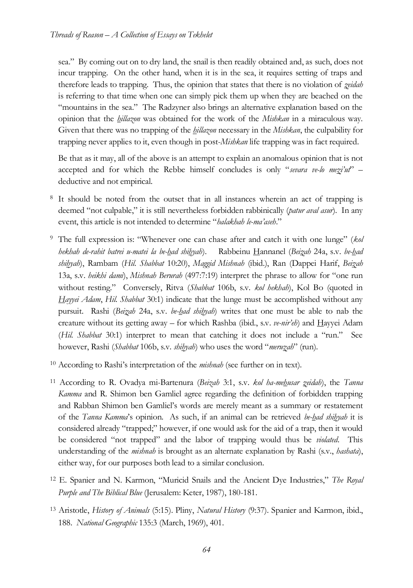sea." By coming out on to dry land, the snail is then readily obtained and, as such, does not incur trapping. On the other hand, when it is in the sea, it requires setting of traps and therefore leads to trapping. Thus, the opinion that states that there is no violation of *zeidah* is referring to that time when one can simply pick them up when they are beached on the "mountains in the sea." The Radzyner also brings an alternative explanation based on the opinion that the *hillazon* was obtained for the work of the *Mishkan* in a miraculous way. Given that there was no trapping of the *hillazon* necessary in the *Mishkan*, the culpability for trapping never applies to it, even though in post-*Mishkan* life trapping was in fact required.

Be that as it may, all of the above is an attempt to explain an anomalous opinion that is not accepted and for which the Rebbe himself concludes is only "*sevara ve-lo mezi'ut*" – deductive and not empirical.

- <sup>8</sup> It should be noted from the outset that in all instances wherein an act of trapping is deemed "not culpable," it is still nevertheless forbidden rabbinically (*patur aval asur*). In any event, this article is not intended to determine "*halakhah le-ma'aseh*."
- <sup>9</sup> The full expression is: "Whenever one can chase after and catch it with one lunge" (*kol hekhah de-rahit batrei u-matei la be-had shihyah*). Rabbeinu Hannanel (*Beizah* 24a, s.v. *be-had shihyah*), Rambam (*Hil. Shabbat* 10:20), *Maggid Mishnah* (ibid.), Ran (Dappei Harif, *Beizah* 13a, s.v. *heikhi dami*), *Mishnah Berurah* (497:7:19) interpret the phrase to allow for "one run without resting." Conversely, Ritva (*Shabbat* 106b, s.v. *kol hekhah*), Kol Bo (quoted in *Hayyei Adam*, *Hil. Shabbat* 30:1) indicate that the lunge must be accomplished without any pursuit. Rashi (*Beizah* 24a, s.v. *be-had shihyah*) writes that one must be able to nab the creature without its getting away – for which Rashba (ibid., s.v. *ve-nir'eh*) and Hayyei Adam (*Hil. Shabbat* 30:1) interpret to mean that catching it does not include a "run." See however, Rashi (*Shabbat* 106b, s.v. *shihyah*) who uses the word "*meruzah*" (run).
- <sup>10</sup> According to Rashi's interpretation of the *mishnah* (see further on in text).
- <sup>11</sup> According to R. Ovadya mi-Bartenura (*Beizah* 3:1, s.v. *kol ha-mehusar zeidah*), the *Tanna Kamma* and R. Shimon ben Gamliel agree regarding the definition of forbidden trapping and Rabban Shimon ben Gamliel's words are merely meant as a summary or restatement of the *Tanna Kamma*'s opinion. As such, if an animal can be retrieved *be-had shihyah* it is considered already "trapped;" however, if one would ask for the aid of a trap, then it would be considered "not trapped" and the labor of trapping would thus be *violated*. This understanding of the *mishnah* is brought as an alternate explanation by Rashi (s.v., *hashata*), either way, for our purposes both lead to a similar conclusion.
- <sup>12</sup> E. Spanier and N. Karmon, "Muricid Snails and the Ancient Dye Industries," *The Royal Purple and The Biblical Blue* (Jerusalem: Keter, 1987), 180-181.
- <sup>13</sup> Aristotle, *History of Animals* (5:15). Pliny, *Natural History* (9:37). Spanier and Karmon, ibid., 188. *National Geographic* 135:3 (March, 1969), 401.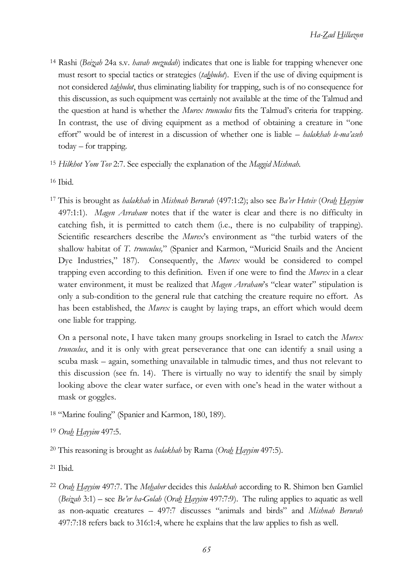- <sup>14</sup> Rashi (*Beizah* 24a s.v*. havah mezudah*) indicates that one is liable for trapping whenever one must resort to special tactics or strategies (*tahbulot*). Even if the use of diving equipment is not considered *tahbulot*, thus eliminating liability for trapping, such is of no consequence for this discussion, as such equipment was certainly not available at the time of the Talmud and the question at hand is whether the *Murex trunculus* fits the Talmud's criteria for trapping. In contrast, the use of diving equipment as a method of obtaining a creature in "one effort" would be of interest in a discussion of whether one is liable – *halakhah le-ma'aseh*  today – for trapping.
- <sup>15</sup> *Hilkhot Yom Tov* 2:7. See especially the explanation of the *Maggid Mishnah.*
- <sup>16</sup> Ibid.
- <sup>17</sup> This is brought as *halakhah* in *Mishnah Berurah* (497:1:2); also see *Ba'er Heteiv* (*Orah Hayyim* 497:1:1). *Magen Avraham* notes that if the water is clear and there is no difficulty in catching fish, it is permitted to catch them (i.e., there is no culpability of trapping). Scientific researchers describe the *Murex*'s environment as "the turbid waters of the shallow habitat of *T. trunculus,*" (Spanier and Karmon, "Muricid Snails and the Ancient Dye Industries," 187). Consequently, the *Murex* would be considered to compel trapping even according to this definition. Even if one were to find the *Murex* in a clear water environment, it must be realized that *Magen Avraham*'s "clear water" stipulation is only a sub-condition to the general rule that catching the creature require no effort. As has been established, the *Murex* is caught by laying traps, an effort which would deem one liable for trapping.

On a personal note, I have taken many groups snorkeling in Israel to catch the *Murex trunculus*, and it is only with great perseverance that one can identify a snail using a scuba mask – again, something unavailable in talmudic times, and thus not relevant to this discussion (see fn. [14\)](#page-3-0). There is virtually no way to identify the snail by simply looking above the clear water surface, or even with one's head in the water without a mask or goggles.

<sup>18</sup> "Marine fouling" (Spanier and Karmon, 180, 189).

<sup>20</sup> This reasoning is brought as *halakhah* by Rama (*Orah Hayyim* 497:5).

- $21$  Ibid.
- <sup>22</sup> *Orah Hayyim* 497:7. The *Mehaber* decides this *halakhah* according to R. Shimon ben Gamliel (*Beizah* 3:1) – see *Be'er ha-Golah* (*Orah Hayyim* 497:7:9). The ruling applies to aquatic as well as non-aquatic creatures – 497:7 discusses "animals and birds" and *Mishnah Berurah* 497:7:18 refers back to 316:1:4, where he explains that the law applies to fish as well.

<sup>19</sup> *Orah Hayyim* 497:5.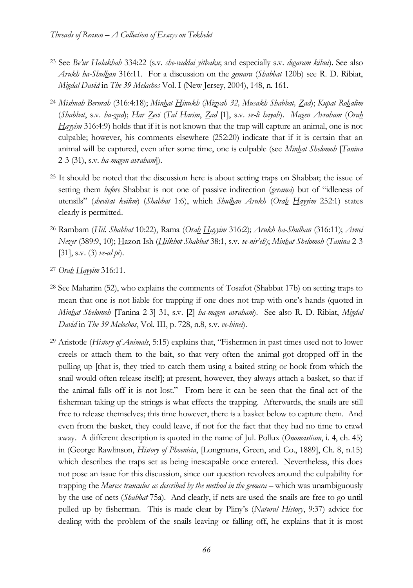- <sup>23</sup> See *Be'ur Halakhah* 334:22 (s.v. *she-vaddai yitbaku*; and especially s.v. *degaram kibui*). See also *Arukh ha-Shulhan* 316:11. For a discussion on the *gemara* (*Shabbat* 120b) see R. D. Ribiat, *Migdal David* in *The 39 Melachos* Vol. I (New Jersey, 2004), 148, n. 161.
- <sup>24</sup> *Mishnah Berurah* (316:4:18); *Minhat Hinukh* (*Mizvah 32, Musakh Shabbat, Zad*); *Kupat Rohalim* (*Shabbat*, s.v. *ha-zad*); *Har Zevi* (*Tal Harim*, *Zad* [1], s.v. *ve-li hayah*). *Magen Avraham* (*Orah Hayyim* 316:4:9) holds that if it is not known that the trap will capture an animal, one is not culpable; however, his comments elsewhere (252:20) indicate that if it is certain that an animal will be captured, even after some time, one is culpable (see *Minhat Shelomoh* [*Tanina* 2-3 (31), s.v. *ha-magen avraham*]).
- <sup>25</sup> It should be noted that the discussion here is about setting traps on Shabbat; the issue of setting them *before* Shabbat is not one of passive indirection (*gerama*) but of "idleness of utensils" (*shevitat keilim*) (*Shabbat* 1:6), which *Shulhan Arukh* (*Orah Hayyim* 252:1) states clearly is permitted.
- <sup>26</sup> Rambam (*Hil. Shabbat* 10:22), Rama (*Orah Hayyim* 316:2); *Arukh ha-Shulhan* (316:11); *Avnei Nezer* (389:9, 10); Hazon Ish (*Hilkhot Shabbat* 38:1, s.v. *ve-nir'eh*); *Minhat Shelomoh* (*Tanina* 2-3 [31], s.v. (3) *ve-al pi*).
- <sup>27</sup> *Orah Hayyim* 316:11.
- <sup>28</sup> See Maharim (52), who explains the comments of Tosafot (Shabbat 17b) on setting traps to mean that one is not liable for trapping if one does not trap with one's hands (quoted in *Minhat Shelomoh* [Tanina 2-3] 31, s.v. [2] *ha-magen avraham*). See also R. D. Ribiat, *Migdal David* in *The 39 Melochos*, Vol. III, p. 728, n.8, s.v. *ve-hinei*).
- <sup>29</sup> Aristotle (*History of Animals*, 5:15) explains that, "Fishermen in past times used not to lower creels or attach them to the bait, so that very often the animal got dropped off in the pulling up [that is, they tried to catch them using a baited string or hook from which the snail would often release itself]; at present, however, they always attach a basket, so that if the animal falls off it is not lost." From here it can be seen that the final act of the fisherman taking up the strings is what effects the trapping. Afterwards, the snails are still free to release themselves; this time however, there is a basket below to capture them. And even from the basket, they could leave, if not for the fact that they had no time to crawl away. A different description is quoted in the name of Jul. Pollux (*Onomasticon*, i. 4, ch. 45) in (George Rawlinson, *History of Phoenicia*, [Longmans, Green, and Co., 1889], Ch. 8, n.15) which describes the traps set as being inescapable once entered. Nevertheless, this does not pose an issue for this discussion, since our question revolves around the culpability for trapping the *Murex trunculus as described by the method in the gemara* – which was unambiguously by the use of nets (*Shabbat* 75a). And clearly, if nets are used the snails are free to go until pulled up by fisherman. This is made clear by Pliny's (*Natural History*, 9:37) advice for dealing with the problem of the snails leaving or falling off, he explains that it is most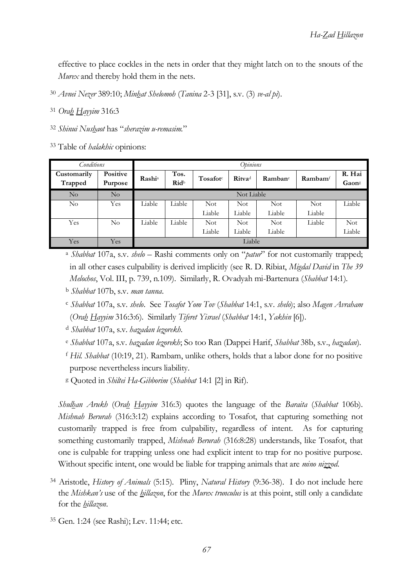effective to place cockles in the nets in order that they might latch on to the snouts of the *Murex* and thereby hold them in the nets.

<sup>30</sup> *Avnei Nezer* 389:10; *Minhat Shelomoh* (*Tanina* 2-3 [31], s.v. (3) *ve-al pi*).

<sup>31</sup> *Orah Hayyim* 316:3

<sup>32</sup> *Shinui Nushaot* has "*sherazim u-remasim.*"

<sup>33</sup> Table of *halakhic* opinions:

| Conditions             |                     | Opinions                  |                                 |                      |                           |            |                                 |                 |
|------------------------|---------------------|---------------------------|---------------------------------|----------------------|---------------------------|------------|---------------------------------|-----------------|
| Customarily<br>Trapped | Positive<br>Purpose | <b>Rashi</b> <sup>a</sup> | Tos.<br><b>Rid</b> <sup>b</sup> | Tosafot <sup>c</sup> | <b>Ritva</b> <sup>d</sup> | Rambane    | $\mathbf{R}$ ambam <sup>f</sup> | R. Hai<br>Gaons |
| No                     | No                  | Not Liable                |                                 |                      |                           |            |                                 |                 |
| No                     | Yes                 | Liable                    | Liable                          | <b>Not</b>           | Not                       | Not.       | Not                             | Liable          |
|                        |                     |                           |                                 | Liable               | Liable                    | Liable     | Liable                          |                 |
| Yes                    | No                  | Liable                    | Liable                          | Not                  | <b>Not</b>                | <b>Not</b> | Liable                          | <b>Not</b>      |
|                        |                     |                           |                                 | Liable               | Liable                    | Liable     |                                 | Liable          |
| Yes                    | Yes                 | Liable                    |                                 |                      |                           |            |                                 |                 |

<sup>a</sup> *Shabbat* 107a, s.v. *shelo* – Rashi comments only on "*patur*" for not customarily trapped; in all other cases culpability is derived implicitly (see R. D. Ribiat, *Migdal David* in *The 39 Melochos*, Vol. III, p. 739, n.109). Similarly, R. Ovadyah mi-Bartenura (*Shabbat* 14:1).

<sup>c</sup> *Shabbat* 107a, s.v. *shelo*. See *Tosafot Yom Tov* (*Shabbat* 14:1, s.v. *shelo*); also *Magen Avraham* (*Orah Hayyim* 316:3:6). Similarly *Tiferet Yisrael* (*Shabbat* 14:1, *Yakhin* [6]).

<sup>d</sup> *Shabbat* 107a, s.v. *hazadan lezorekh*.

- <sup>e</sup> *Shabbat* 107a, s.v. *hazadan lezorekh*; So too Ran (Dappei Harif, *Shabbat* 38b, s.v., *hazadan*).
- <sup>f</sup> *Hil. Shabbat* (10:19, 21). Rambam, unlike others, holds that a labor done for no positive purpose nevertheless incurs liability.

<sup>g</sup> Quoted in *Shiltei Ha-Gibborim* (*Shabbat* 14:1 [2] in Rif).

*Shulhan Arukh* (*Orah Hayyim* 316:3) quotes the language of the *Baraita* (*Shabbat* 106b). *Mishnah Berurah* (316:3:12) explains according to Tosafot, that capturing something not customarily trapped is free from culpability, regardless of intent. As for capturing something customarily trapped, *Mishnah Berurah* (316:8:28) understands, like Tosafot, that one is culpable for trapping unless one had explicit intent to trap for no positive purpose. Without specific intent, one would be liable for trapping animals that are *mino nizzod*.

- <sup>34</sup> Aristotle, *History of Animals* (5:15). Pliny, *Natural History* (9:36-38). I do not include here the *Mishkan's* use of the *hillazon*, for the *Murex trunculus* is at this point, still only a candidate for the *hillazon*.
- <sup>35</sup> Gen. 1:24 (see Rashi); Lev. 11:44; etc.

<sup>b</sup> *Shabbat* 107b, s.v. *man tanna*.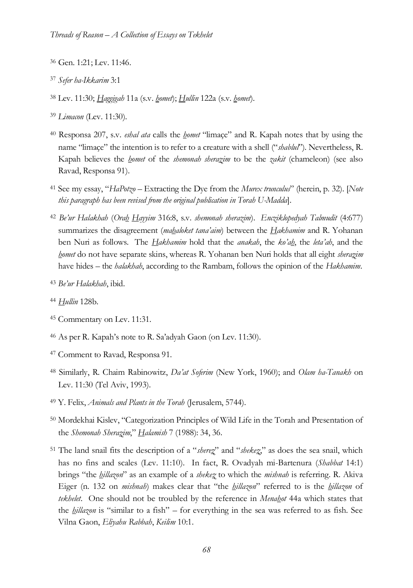- <sup>36</sup> Gen. 1:21; Lev. 11:46.
- <sup>37</sup> *Sefer ha-Ikkarim* 3:1
- <sup>38</sup> Lev. 11:30; *Haggigah* 11a (s.v. *homet*); *Hullin* 122a (s.v. *homet*).
- <sup>39</sup> *Limacon* (Lev. 11:30).
- <sup>40</sup> Responsa 207, s.v. *eshal ata* calls the *homet* "limaçe" and R. Kapah notes that by using the name "limaçe" the intention is to refer to a creature with a shell ("*shablul*"). Nevertheless, R. Kapah believes the *homet* of the *shemonah sherazim* to be the *zakit* (chameleon) (see also Ravad, Responsa 91).
- <sup>41</sup> See my essay, "*HaPotzo* Extracting the Dye from the *Murex trunculus*" (herein, p. 32). [*Note this paragraph has been revised from the original publication in Torah U-Madda*].
- <sup>42</sup> *Be'ur Halakhah* (*Orah Hayyim* 316:8, s.v. *shemonah sherazim*). *Encziklopedyah Talmudit* (4:677) summarizes the disagreement (*mahaloket tana'aim*) between the *Hakhamim* and R. Yohanan ben Nuri as follows. The *Hakhamim* hold that the *anakah*, the *ko'ah*, the *leta'ah*, and the *homet* do not have separate skins, whereas R. Yohanan ben Nuri holds that all eight *sherazim* have hides – the *halakhah*, according to the Rambam, follows the opinion of the *Hakhamim*.
- <sup>43</sup> *Be'ur Halakhah*, ibid.
- <sup>44</sup> *Hullin* 128b.
- <sup>45</sup> Commentary on Lev. 11:31.
- <sup>46</sup> As per R. Kapah's note to R. Sa'adyah Gaon (on Lev. 11:30).
- <sup>47</sup> Comment to Ravad, Responsa 91.
- <sup>48</sup> Similarly, R. Chaim Rabinowitz, *Da'at Soferim* (New York, 1960); and *Olam ha-Tanakh* on Lev. 11:30 (Tel Aviv, 1993).
- <sup>49</sup> Y. Felix, *Animals and Plants in the Torah* (Jerusalem, 5744).
- <sup>50</sup> Mordekhai Kislev, "Categorization Principles of Wild Life in the Torah and Presentation of the *Shemonah Sherazim*," *Halamish* 7 (1988): 34, 36.
- <sup>51</sup> The land snail fits the description of a "*sherez*" and "*shekez*," as does the sea snail, which has no fins and scales (Lev. 11:10). In fact, R. Ovadyah mi-Bartenura (*Shabbat* 14:1) brings "the *hillazon*" as an example of a *shekez* to which the *mishnah* is referring. R. Akiva Eiger (n. 132 on *mishnah*) makes clear that "the *hillazon*" referred to is the *hillazon* of *tekhelet*. One should not be troubled by the reference in *Menahot* 44a which states that the *hillazon* is "similar to a fish" – for everything in the sea was referred to as fish. See Vilna Gaon, *Eliyahu Rabbah*, *Keilim* 10:1.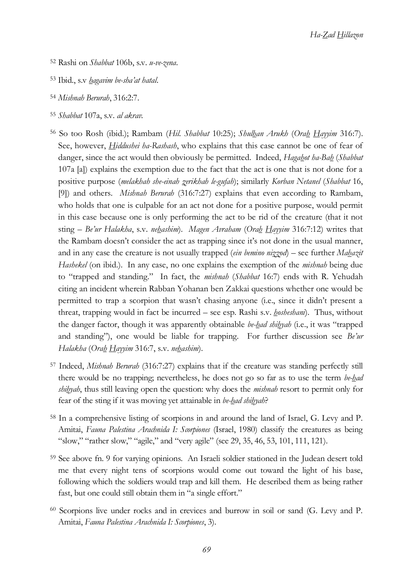*Ha-Zad Hillazon*

- <sup>52</sup> Rashi on *Shabbat* 106b, s.v. *u-ve-zena*.
- <sup>53</sup> Ibid., s.v *hagavim be-sha'at hatal*.
- <sup>54</sup> *Mishnah Berurah*, 316:2:7.
- <sup>55</sup> *Shabbat* 107a, s.v. *al akrav.*
- <sup>56</sup> So too Rosh (ibid.); Rambam (*Hil. Shabbat* 10:25); *Shulhan Arukh* (*Orah Hayyim* 316:7). See, however, *Hiddushei ha-Rashash*, who explains that this case cannot be one of fear of danger, since the act would then obviously be permitted. Indeed, *Hagahot ha-Bah* (*Shabbat* 107a [a]) explains the exemption due to the fact that the act is one that is not done for a positive purpose (*melakhah she-einah zerikhah le-gufah*); similarly *Korban Netanel* (*Shabbat* 16, [9]) and others. *Mishnah Berurah* (316:7:27) explains that even according to Rambam, who holds that one is culpable for an act not done for a positive purpose, would permit in this case because one is only performing the act to be rid of the creature (that it not sting – *Be'ur Halakha*, s.v. *nehashim*). *Magen Avraham* (*Orah Hayyim* 316:7:12) writes that the Rambam doesn't consider the act as trapping since it's not done in the usual manner, and in any case the creature is not usually trapped (*ein bemino nizzod*) – see further *Mahazit Hashekel* (on ibid.). In any case, no one explains the exemption of the *mishnah* being due to "trapped and standing." In fact, the *mishnah* (*Shabbat* 16:7) ends with R. Yehudah citing an incident wherein Rabban Yohanan ben Zakkai questions whether one would be permitted to trap a scorpion that wasn't chasing anyone (i.e., since it didn't present a threat, trapping would in fact be incurred – see esp. Rashi s.v. *hosheshani*). Thus, without the danger factor, though it was apparently obtainable *be-had shihyah* (i.e., it was "trapped and standing"), one would be liable for trapping. For further discussion see *Be'ur Halakha* (*Orah Hayyim* 316:7, s.v. *nehashim*).
- <sup>57</sup> Indeed, *Mishnah Berurah* (316:7:27) explains that if the creature was standing perfectly still there would be no trapping; nevertheless, he does not go so far as to use the term *be-had shihyah*, thus still leaving open the question: why does the *mishnah* resort to permit only for fear of the sting if it was moving yet attainable in *be-had shihyah*?
- <sup>58</sup> In a comprehensive listing of scorpions in and around the land of Israel, G. Levy and P. Amitai, *Fauna Palestina Arachnida I: Scorpiones* (Israel, 1980) classify the creatures as being "slow," "rather slow," "agile," and "very agile" (see 29, 35, 46, 53, 101, 111, 121).
- <sup>59</sup> See above fn. 9 for varying opinions. An Israeli soldier stationed in the Judean desert told me that every night tens of scorpions would come out toward the light of his base, following which the soldiers would trap and kill them. He described them as being rather fast, but one could still obtain them in "a single effort."
- <sup>60</sup> Scorpions live under rocks and in crevices and burrow in soil or sand (G. Levy and P. Amitai, *Fauna Palestina Arachnida I: Scorpiones*, 3).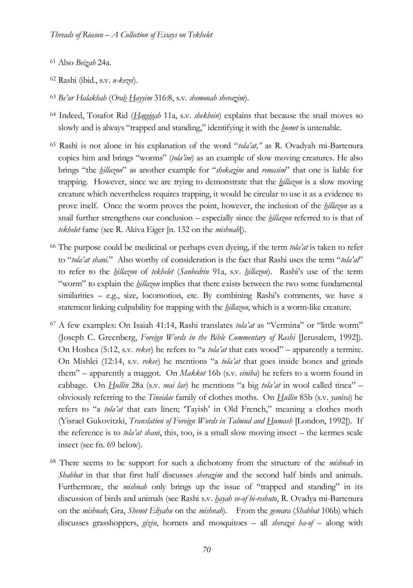- <sup>61</sup> Also *Beizah* 24a.
- <sup>62</sup> Rashi (ibid., s.v. *u-kezei*).
- <sup>63</sup> *Be'ur Halakhah* (*Orah Hayyim* 316:8, s.v. *shemonah sherazim*).
- <sup>64</sup> Indeed, Tosafot Rid (*Haggigah* 11a, s.v. *shekhein*) explains that because the snail moves so slowly and is always "trapped and standing," identifying it with the *homet* is untenable.
- <sup>65</sup> Rashi is not alone in his explanation of the word "*tola'at,"* as R. Ovadyah mi-Bartenura copies him and brings "worms" (*tola'im*) as an example of slow moving creatures. He also brings "the *hillazon*" as another example for "*shekazim* and *remasim*" that one is liable for trapping. However, since we are trying to demonstrate that the *hillazon* is a slow moving creature which nevertheless requires trapping, it would be circular to use it as a evidence to prove itself. Once the worm proves the point, however, the inclusion of the *hillazon* as a snail further strengthens our conclusion – especially since the *hillazon* referred to is that of *tekhelet* fame (see R. Akiva Eiger [n. 132 on the *mishnah*]).
- <sup>66</sup> The purpose could be medicinal or perhaps even dyeing, if the term *tola'at* is taken to refer to "*tola'at shani.*" Also worthy of consideration is the fact that Rashi uses the term "*tola'at*" to refer to the *hillazon* of *tekhelet* (*Sanhedrin* 91a, s.v. *hillazon*). Rashi's use of the term "worm" to explain the *hillazon* implies that there exists between the two some fundamental similarities – e.g., size, locomotion, etc. By combining Rashi's comments, we have a statement linking culpability for trapping with the *hillazon*, which is a worm-like creature.
- <sup>67</sup> A few examples: On Isaiah 41:14, Rashi translates *tola'at* as "Vermina" or "little worm" (Joseph C. Greenberg, *Foreign Words in the Bible Commentary of Rashi* [Jerusalem, 1992]). On Hoshea (5:12, s.v. *rekev*) he refers to "a *tola'at* that eats wood" – apparently a termite. On Mishlei (12:14, s.v. *rekev*) he mentions "a *tola'at* that goes inside bones and grinds them" – apparently a maggot. On *Makkot* 16b (s.v. *einiba*) he refers to a worm found in cabbage. On *Hullin* 28a (s.v. *mai lav*) he mentions "a big *tola'at* in wool called tinea" – obviously referring to the *Tineidae* family of clothes moths. On *Hullin* 85b (s.v. *yaniva*) he refers to "a *tola'at* that eats linen; 'Tayish' in Old French," meaning a clothes moth (Yisrael Gukovitzki, *Translation of Foreign Words in Talmud and Humash* [London, 1992]). If the reference is to *tola'at shani*, this, too, is a small slow moving insect – the kermes scale insect (see fn. 69 below).
- <sup>68</sup> There seems to be support for such a dichotomy from the structure of the *mishnah* in *Shabbat* in that that first half discusses *sherazim* and the second half birds and animals. Furthermore, the *mishnah* only brings up the issue of "trapped and standing" in its discussion of birds and animals (see Rashi s.v. *hayah ve-of bi-reshuto*, R. Ovadya mi-Bartenura on the *mishnah*; Gra, *Shenot Eliyahu* on the *mishnah*). From the *gemara* (*Shabbat* 106b) which discusses grasshoppers, *gizin*, hornets and mosquitoes – all *sherazei ha-of* – along with